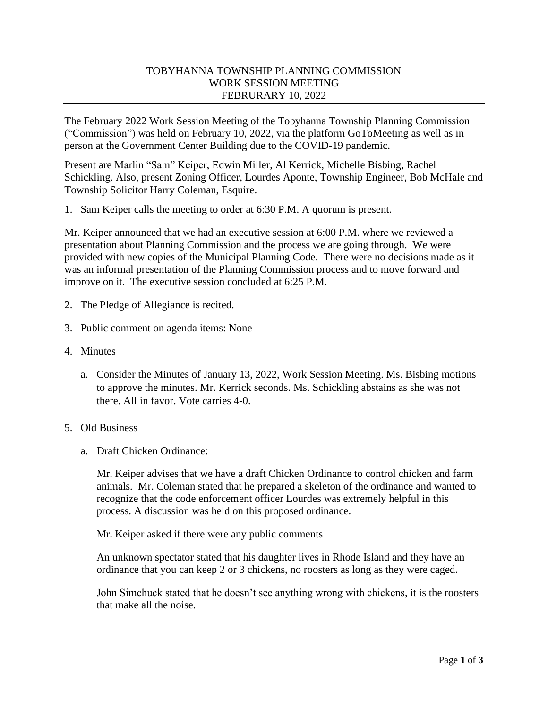## TOBYHANNA TOWNSHIP PLANNING COMMISSION WORK SESSION MEETING FEBRURARY 10, 2022

The February 2022 Work Session Meeting of the Tobyhanna Township Planning Commission ("Commission") was held on February 10, 2022, via the platform GoToMeeting as well as in person at the Government Center Building due to the COVID-19 pandemic.

Present are Marlin "Sam" Keiper, Edwin Miller, Al Kerrick, Michelle Bisbing, Rachel Schickling. Also, present Zoning Officer, Lourdes Aponte, Township Engineer, Bob McHale and Township Solicitor Harry Coleman, Esquire.

1. Sam Keiper calls the meeting to order at 6:30 P.M. A quorum is present.

Mr. Keiper announced that we had an executive session at 6:00 P.M. where we reviewed a presentation about Planning Commission and the process we are going through. We were provided with new copies of the Municipal Planning Code. There were no decisions made as it was an informal presentation of the Planning Commission process and to move forward and improve on it. The executive session concluded at 6:25 P.M.

- 2. The Pledge of Allegiance is recited.
- 3. Public comment on agenda items: None
- 4. Minutes
	- a. Consider the Minutes of January 13, 2022, Work Session Meeting. Ms. Bisbing motions to approve the minutes. Mr. Kerrick seconds. Ms. Schickling abstains as she was not there. All in favor. Vote carries 4-0.
- 5. Old Business
	- a. Draft Chicken Ordinance:

Mr. Keiper advises that we have a draft Chicken Ordinance to control chicken and farm animals. Mr. Coleman stated that he prepared a skeleton of the ordinance and wanted to recognize that the code enforcement officer Lourdes was extremely helpful in this process. A discussion was held on this proposed ordinance.

Mr. Keiper asked if there were any public comments

An unknown spectator stated that his daughter lives in Rhode Island and they have an ordinance that you can keep 2 or 3 chickens, no roosters as long as they were caged.

John Simchuck stated that he doesn't see anything wrong with chickens, it is the roosters that make all the noise.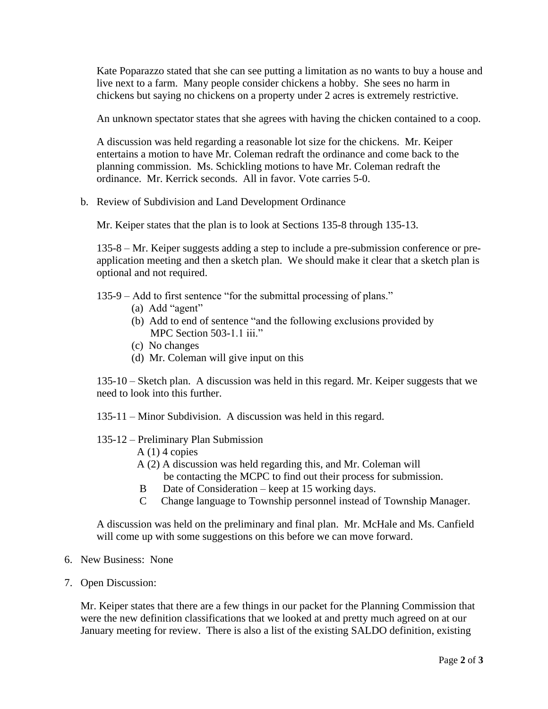Kate Poparazzo stated that she can see putting a limitation as no wants to buy a house and live next to a farm. Many people consider chickens a hobby. She sees no harm in chickens but saying no chickens on a property under 2 acres is extremely restrictive.

An unknown spectator states that she agrees with having the chicken contained to a coop.

A discussion was held regarding a reasonable lot size for the chickens. Mr. Keiper entertains a motion to have Mr. Coleman redraft the ordinance and come back to the planning commission. Ms. Schickling motions to have Mr. Coleman redraft the ordinance. Mr. Kerrick seconds. All in favor. Vote carries 5-0.

b. Review of Subdivision and Land Development Ordinance

Mr. Keiper states that the plan is to look at Sections 135-8 through 135-13.

135-8 – Mr. Keiper suggests adding a step to include a pre-submission conference or preapplication meeting and then a sketch plan. We should make it clear that a sketch plan is optional and not required.

135-9 – Add to first sentence "for the submittal processing of plans."

- (a) Add "agent"
- (b) Add to end of sentence "and the following exclusions provided by MPC Section 503-1.1 iii."
- (c) No changes
- (d) Mr. Coleman will give input on this

135-10 – Sketch plan. A discussion was held in this regard. Mr. Keiper suggests that we need to look into this further.

135-11 – Minor Subdivision. A discussion was held in this regard.

## 135-12 – Preliminary Plan Submission

- $A(1)$  4 copies
- A (2) A discussion was held regarding this, and Mr. Coleman will be contacting the MCPC to find out their process for submission.
- B Date of Consideration keep at 15 working days.
- C Change language to Township personnel instead of Township Manager.

A discussion was held on the preliminary and final plan. Mr. McHale and Ms. Canfield will come up with some suggestions on this before we can move forward.

- 6. New Business: None
- 7. Open Discussion:

Mr. Keiper states that there are a few things in our packet for the Planning Commission that were the new definition classifications that we looked at and pretty much agreed on at our January meeting for review. There is also a list of the existing SALDO definition, existing